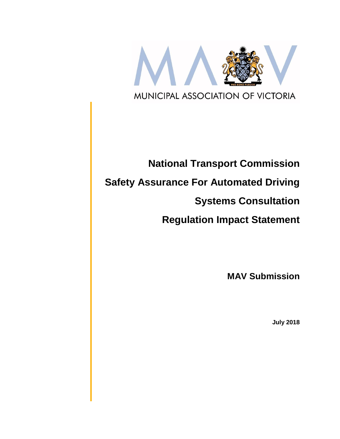

# **National Transport Commission Safety Assurance For Automated Driving Systems Consultation Regulation Impact Statement**

**MAV Submission**

**July 2018**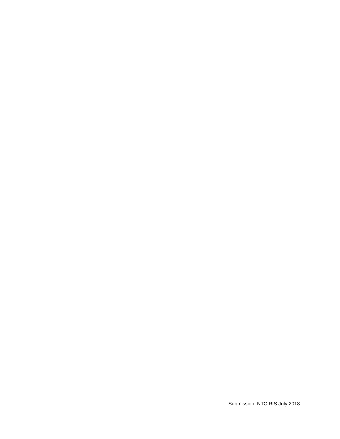Submission: NTC RIS July 2018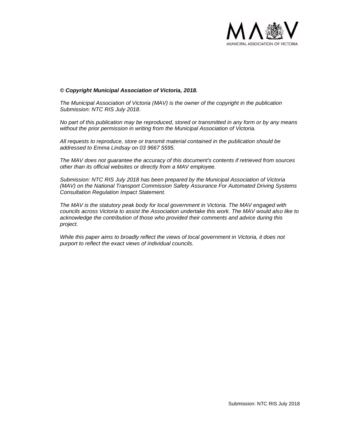

#### *© Copyright Municipal Association of Victoria, 2018.*

*The Municipal Association of Victoria (MAV) is the owner of the copyright in the publication Submission: NTC RIS July 2018.* 

*No part of this publication may be reproduced, stored or transmitted in any form or by any means without the prior permission in writing from the Municipal Association of Victoria.* 

*All requests to reproduce, store or transmit material contained in the publication should be addressed to Emma Lindsay on 03 9667 5595.* 

*The MAV does not guarantee the accuracy of this document's contents if retrieved from sources other than its official websites or directly from a MAV employee.*

*Submission: NTC RIS July 2018 has been prepared by the Municipal Association of Victoria (MAV) on the National Transport Commission Safety Assurance For Automated Driving Systems Consultation Regulation Impact Statement.*

*The MAV is the statutory peak body for local government in Victoria. The MAV engaged with councils across Victoria to assist the Association undertake this work. The MAV would also like to acknowledge the contribution of those who provided their comments and advice during this project.* 

*While this paper aims to broadly reflect the views of local government in Victoria, it does not purport to reflect the exact views of individual councils.*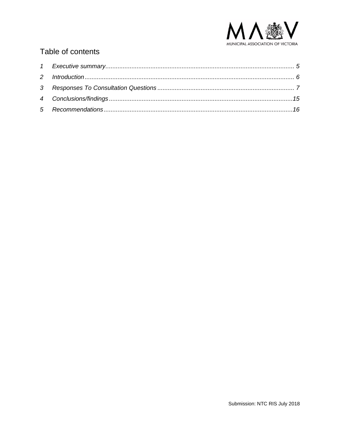

## Table of contents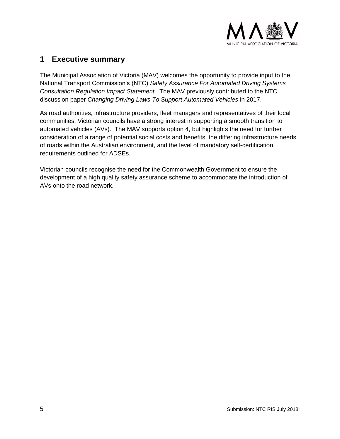

## <span id="page-4-0"></span>**1 Executive summary**

The Municipal Association of Victoria (MAV) welcomes the opportunity to provide input to the National Transport Commission's (NTC) *Safety Assurance For Automated Driving Systems Consultation Regulation Impact Statement*. The MAV previously contributed to the NTC discussion paper *Changing Driving Laws To Support Automated Vehicles* in 2017.

As road authorities, infrastructure providers, fleet managers and representatives of their local communities, Victorian councils have a strong interest in supporting a smooth transition to automated vehicles (AVs). The MAV supports option 4, but highlights the need for further consideration of a range of potential social costs and benefits, the differing infrastructure needs of roads within the Australian environment, and the level of mandatory self-certification requirements outlined for ADSEs.

Victorian councils recognise the need for the Commonwealth Government to ensure the development of a high quality safety assurance scheme to accommodate the introduction of AVs onto the road network.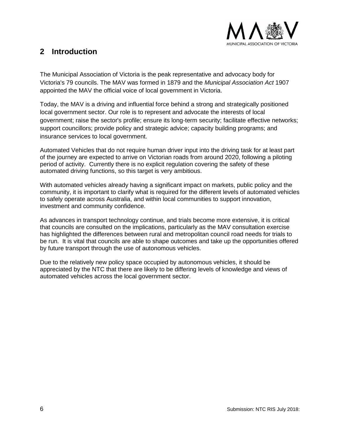

## <span id="page-5-0"></span>**2 Introduction**

The Municipal Association of Victoria is the peak representative and advocacy body for Victoria's 79 councils. The MAV was formed in 1879 and the *Municipal Association Act* 1907 appointed the MAV the official voice of local government in Victoria.

Today, the MAV is a driving and influential force behind a strong and strategically positioned local government sector. Our role is to represent and advocate the interests of local government; raise the sector's profile; ensure its long-term security; facilitate effective networks; support councillors; provide policy and strategic advice; capacity building programs; and insurance services to local government.

Automated Vehicles that do not require human driver input into the driving task for at least part of the journey are expected to arrive on Victorian roads from around 2020, following a piloting period of activity. Currently there is no explicit regulation covering the safety of these automated driving functions, so this target is very ambitious.

With automated vehicles already having a significant impact on markets, public policy and the community, it is important to clarify what is required for the different levels of automated vehicles to safely operate across Australia, and within local communities to support innovation, investment and community confidence.

As advances in transport technology continue, and trials become more extensive, it is critical that councils are consulted on the implications, particularly as the MAV consultation exercise has highlighted the differences between rural and metropolitan council road needs for trials to be run. It is vital that councils are able to shape outcomes and take up the opportunities offered by future transport through the use of autonomous vehicles.

Due to the relatively new policy space occupied by autonomous vehicles, it should be appreciated by the NTC that there are likely to be differing levels of knowledge and views of automated vehicles across the local government sector.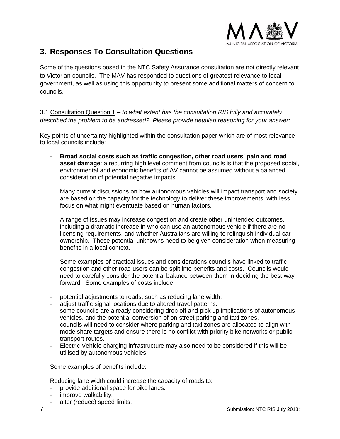

## <span id="page-6-0"></span>**3. Responses To Consultation Questions**

Some of the questions posed in the NTC Safety Assurance consultation are not directly relevant to Victorian councils. The MAV has responded to questions of greatest relevance to local government, as well as using this opportunity to present some additional matters of concern to councils.

3.1 Consultation Question 1 *– to what extent has the consultation RIS fully and accurately described the problem to be addressed? Please provide detailed reasoning for your answer:*

Key points of uncertainty highlighted within the consultation paper which are of most relevance to local councils include:

- **Broad social costs such as traffic congestion, other road users' pain and road asset damage**: a recurring high level comment from councils is that the proposed social, environmental and economic benefits of AV cannot be assumed without a balanced consideration of potential negative impacts.

Many current discussions on how autonomous vehicles will impact transport and society are based on the capacity for the technology to deliver these improvements, with less focus on what might eventuate based on human factors.

A range of issues may increase congestion and create other unintended outcomes, including a dramatic increase in who can use an autonomous vehicle if there are no licensing requirements, and whether Australians are willing to relinquish individual car ownership. These potential unknowns need to be given consideration when measuring benefits in a local context.

Some examples of practical issues and considerations councils have linked to traffic congestion and other road users can be split into benefits and costs. Councils would need to carefully consider the potential balance between them in deciding the best way forward. Some examples of costs include:

- potential adjustments to roads, such as reducing lane width.
- adjust traffic signal locations due to altered travel patterns.
- some councils are already considering drop off and pick up implications of autonomous vehicles, and the potential conversion of on-street parking and taxi zones.
- councils will need to consider where parking and taxi zones are allocated to align with mode share targets and ensure there is no conflict with priority bike networks or public transport routes.
- Electric Vehicle charging infrastructure may also need to be considered if this will be utilised by autonomous vehicles.

Some examples of benefits include:

Reducing lane width could increase the capacity of roads to:

- provide additional space for bike lanes.
- improve walkability.
- alter (reduce) speed limits.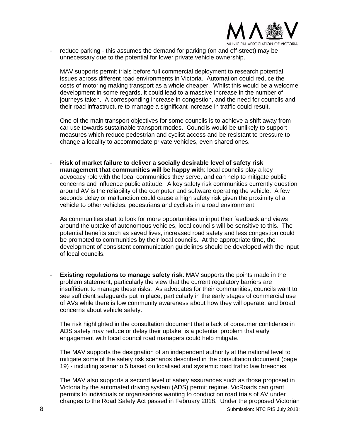

reduce parking - this assumes the demand for parking (on and off-street) may be unnecessary due to the potential for lower private vehicle ownership.

MAV supports permit trials before full commercial deployment to research potential issues across different road environments in Victoria. Automation could reduce the costs of motoring making transport as a whole cheaper. Whilst this would be a welcome development in some regards, it could lead to a massive increase in the number of journeys taken. A corresponding increase in congestion, and the need for councils and their road infrastructure to manage a significant increase in traffic could result.

One of the main transport objectives for some councils is to achieve a shift away from car use towards sustainable transport modes. Councils would be unlikely to support measures which reduce pedestrian and cyclist access and be resistant to pressure to change a locality to accommodate private vehicles, even shared ones.

- **Risk of market failure to deliver a socially desirable level of safety risk management that communities will be happy with**: local councils play a key advocacy role with the local communities they serve, and can help to mitigate public concerns and influence public attitude. A key safety risk communities currently question around AV is the reliability of the computer and software operating the vehicle. A few seconds delay or malfunction could cause a high safety risk given the proximity of a vehicle to other vehicles, pedestrians and cyclists in a road environment.

As communities start to look for more opportunities to input their feedback and views around the uptake of autonomous vehicles, local councils will be sensitive to this. The potential benefits such as saved lives, increased road safety and less congestion could be promoted to communities by their local councils. At the appropriate time, the development of consistent communication guidelines should be developed with the input of local councils.

**Existing regulations to manage safety risk:** MAV supports the points made in the problem statement, particularly the view that the current regulatory barriers are insufficient to manage these risks. As advocates for their communities, councils want to see sufficient safeguards put in place, particularly in the early stages of commercial use of AVs while there is low community awareness about how they will operate, and broad concerns about vehicle safety.

The risk highlighted in the consultation document that a lack of consumer confidence in ADS safety may reduce or delay their uptake, is a potential problem that early engagement with local council road managers could help mitigate.

The MAV supports the designation of an independent authority at the national level to mitigate some of the safety risk scenarios described in the consultation document (page 19) - including scenario 5 based on localised and systemic road traffic law breaches.

The MAV also supports a second level of safety assurances such as those proposed in Victoria by the automated driving system (ADS) permit regime. VicRoads can grant permits to individuals or organisations wanting to conduct on road trials of AV under changes to the Road Safety Act passed in February 2018. Under the proposed Victorian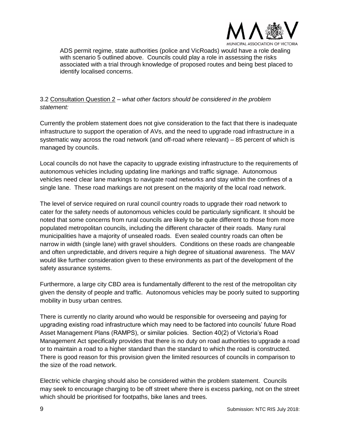

ADS permit regime, state authorities (police and VicRoads) would have a role dealing with scenario 5 outlined above. Councils could play a role in assessing the risks associated with a trial through knowledge of proposed routes and being best placed to identify localised concerns.

### 3.2 Consultation Question 2 *– what other factors should be considered in the problem statement:*

Currently the problem statement does not give consideration to the fact that there is inadequate infrastructure to support the operation of AVs, and the need to upgrade road infrastructure in a systematic way across the road network (and off-road where relevant) – 85 percent of which is managed by councils.

Local councils do not have the capacity to upgrade existing infrastructure to the requirements of autonomous vehicles including updating line markings and traffic signage. Autonomous vehicles need clear lane markings to navigate road networks and stay within the confines of a single lane. These road markings are not present on the majority of the local road network.

The level of service required on rural council country roads to upgrade their road network to cater for the safety needs of autonomous vehicles could be particularly significant. It should be noted that some concerns from rural councils are likely to be quite different to those from more populated metropolitan councils, including the different character of their roads. Many rural municipalities have a majority of unsealed roads. Even sealed country roads can often be narrow in width (single lane) with gravel shoulders. Conditions on these roads are changeable and often unpredictable, and drivers require a high degree of situational awareness. The MAV would like further consideration given to these environments as part of the development of the safety assurance systems.

Furthermore, a large city CBD area is fundamentally different to the rest of the metropolitan city given the density of people and traffic. Autonomous vehicles may be poorly suited to supporting mobility in busy urban centres.

There is currently no clarity around who would be responsible for overseeing and paying for upgrading existing road infrastructure which may need to be factored into councils' future Road Asset Management Plans (RAMPS), or similar policies. Section 40(2) of Victoria's Road Management Act specifically provides that there is no duty on road authorities to upgrade a road or to maintain a road to a higher standard than the standard to which the road is constructed. There is good reason for this provision given the limited resources of councils in comparison to the size of the road network.

Electric vehicle charging should also be considered within the problem statement. Councils may seek to encourage charging to be off street where there is excess parking, not on the street which should be prioritised for footpaths, bike lanes and trees.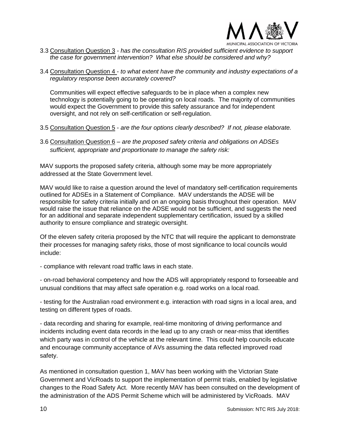

- 3.3 Consultation Question 3 *- has the consultation RIS provided sufficient evidence to support the case for government intervention? What else should be considered and why?*
- 3.4 Consultation Question 4 *to what extent have the community and industry expectations of a regulatory response been accurately covered?*

Communities will expect effective safeguards to be in place when a complex new technology is potentially going to be operating on local roads. The majority of communities would expect the Government to provide this safety assurance and for independent oversight, and not rely on self-certification or self-regulation.

- 3.5 Consultation Question 5 *are the four options clearly described? If not, please elaborate.*
- 3.6 Consultation Question 6 *– are the proposed safety criteria and obligations on ADSEs sufficient, appropriate and proportionate to manage the safety risk:*

MAV supports the proposed safety criteria, although some may be more appropriately addressed at the State Government level.

MAV would like to raise a question around the level of mandatory self-certification requirements outlined for ADSEs in a Statement of Compliance. MAV understands the ADSE will be responsible for safety criteria initially and on an ongoing basis throughout their operation. MAV would raise the issue that reliance on the ADSE would not be sufficient, and suggests the need for an additional and separate independent supplementary certification, issued by a skilled authority to ensure compliance and strategic oversight.

Of the eleven safety criteria proposed by the NTC that will require the applicant to demonstrate their processes for managing safety risks, those of most significance to local councils would include:

- compliance with relevant road traffic laws in each state.

- on-road behavioral competency and how the ADS will appropriately respond to forseeable and unusual conditions that may affect safe operation e.g. road works on a local road.

- testing for the Australian road environment e.g. interaction with road signs in a local area, and testing on different types of roads.

- data recording and sharing for example, real-time monitoring of driving performance and incidents including event data records in the lead up to any crash or near-miss that identifies which party was in control of the vehicle at the relevant time. This could help councils educate and encourage community acceptance of AVs assuming the data reflected improved road safety.

As mentioned in consultation question 1, MAV has been working with the Victorian State Government and VicRoads to support the implementation of permit trials, enabled by legislative changes to the Road Safety Act. More recently MAV has been consulted on the development of the administration of the ADS Permit Scheme which will be administered by VicRoads. MAV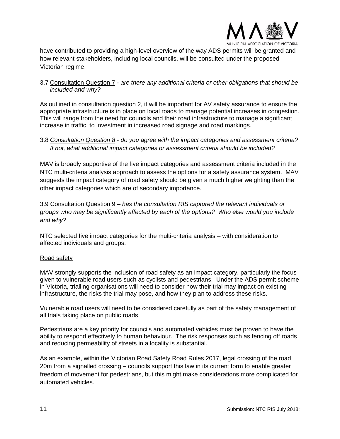

have contributed to providing a high-level overview of the way ADS permits will be granted and how relevant stakeholders, including local councils, will be consulted under the proposed Victorian regime.

#### 3.7 Consultation Question 7 - *are there any additional criteria or other obligations that should be included and why?*

As outlined in consultation question 2, it will be important for AV safety assurance to ensure the appropriate infrastructure is in place on local roads to manage potential increases in congestion. This will range from the need for councils and their road infrastructure to manage a significant increase in traffic, to investment in increased road signage and road markings.

#### 3.8 *Consultation Question 8 - do you agree with the impact categories and assessment criteria? If not, what additional impact categories or assessment criteria should be included?*

MAV is broadly supportive of the five impact categories and assessment criteria included in the NTC multi-criteria analysis approach to assess the options for a safety assurance system. MAV suggests the impact category of road safety should be given a much higher weighting than the other impact categories which are of secondary importance.

3.9 Consultation Question 9 *– has the consultation RIS captured the relevant individuals or groups who may be significantly affected by each of the options? Who else would you include and why?*

NTC selected five impact categories for the multi-criteria analysis – with consideration to affected individuals and groups:

#### Road safety

MAV strongly supports the inclusion of road safety as an impact category, particularly the focus given to vulnerable road users such as cyclists and pedestrians. Under the ADS permit scheme in Victoria, trialling organisations will need to consider how their trial may impact on existing infrastructure, the risks the trial may pose, and how they plan to address these risks.

Vulnerable road users will need to be considered carefully as part of the safety management of all trials taking place on public roads.

Pedestrians are a key priority for councils and automated vehicles must be proven to have the ability to respond effectively to human behaviour. The risk responses such as fencing off roads and reducing permeability of streets in a locality is substantial.

As an example, within the Victorian Road Safety Road Rules 2017, legal crossing of the road 20m from a signalled crossing – councils support this law in its current form to enable greater freedom of movement for pedestrians, but this might make considerations more complicated for automated vehicles.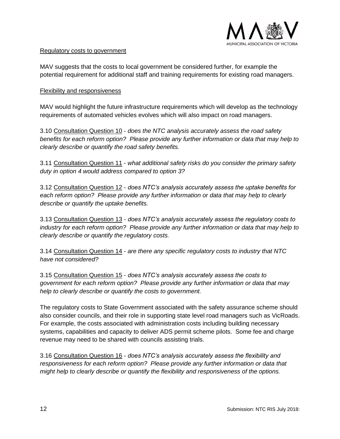

#### Regulatory costs to government

MAV suggests that the costs to local government be considered further, for example the potential requirement for additional staff and training requirements for existing road managers.

#### Flexibility and responsiveness

MAV would highlight the future infrastructure requirements which will develop as the technology requirements of automated vehicles evolves which will also impact on road managers.

3.10 Consultation Question 10 - *does the NTC analysis accurately assess the road safety benefits for each reform option? Please provide any further information or data that may help to clearly describe or quantify the road safety benefits.*

3.11 Consultation Question 11 - *what additional safety risks do you consider the primary safety duty in option 4 would address compared to option 3?*

3.12 Consultation Question 12 - *does NTC's analysis accurately assess the uptake benefits for each reform option? Please provide any further information or data that may help to clearly describe or quantify the uptake benefits.*

3.13 Consultation Question 13 - *does NTC's analysis accurately assess the regulatory costs to industry for each reform option? Please provide any further information or data that may help to clearly describe or quantify the regulatory costs.*

3.14 Consultation Question 14 - *are there any specific regulatory costs to industry that NTC have not considered?* 

3.15 Consultation Question 15 - *does NTC's analysis accurately assess the costs to government for each reform option? Please provide any further information or data that may help to clearly describe or quantify the costs to government.*

The regulatory costs to State Government associated with the safety assurance scheme should also consider councils, and their role in supporting state level road managers such as VicRoads. For example, the costs associated with administration costs including building necessary systems, capabilities and capacity to deliver ADS permit scheme pilots. Some fee and charge revenue may need to be shared with councils assisting trials.

3.16 Consultation Question 16 - *does NTC's analysis accurately assess the flexibility and responsiveness for each reform option? Please provide any further information or data that might help to clearly describe or quantify the flexibility and responsiveness of the options.*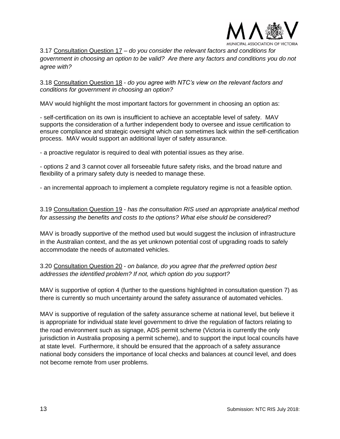

3.17 Consultation Question 17 – *do you consider the relevant factors and conditions for government in choosing an option to be valid? Are there any factors and conditions you do not agree with?*

3.18 Consultation Question 18 - *do you agree with NTC's view on the relevant factors and conditions for government in choosing an option?*

MAV would highlight the most important factors for government in choosing an option as:

- self-certification on its own is insufficient to achieve an acceptable level of safety. MAV supports the consideration of a further independent body to oversee and issue certification to ensure compliance and strategic oversight which can sometimes lack within the self-certification process. MAV would support an additional layer of safety assurance.

- a proactive regulator is required to deal with potential issues as they arise.

- options 2 and 3 cannot cover all forseeable future safety risks, and the broad nature and flexibility of a primary safety duty is needed to manage these.

- an incremental approach to implement a complete regulatory regime is not a feasible option.

3.19 Consultation Question 19 - *has the consultation RIS used an appropriate analytical method for assessing the benefits and costs to the options? What else should be considered?*

MAV is broadly supportive of the method used but would suggest the inclusion of infrastructure in the Australian context, and the as yet unknown potential cost of upgrading roads to safely accommodate the needs of automated vehicles.

#### 3.20 Consultation Question 20 - *on balance, do you agree that the preferred option best addresses the identified problem? If not, which option do you support?*

MAV is supportive of option 4 (further to the questions highlighted in consultation question 7) as there is currently so much uncertainty around the safety assurance of automated vehicles.

MAV is supportive of regulation of the safety assurance scheme at national level, but believe it is appropriate for individual state level government to drive the regulation of factors relating to the road environment such as signage, ADS permit scheme (Victoria is currently the only jurisdiction in Australia proposing a permit scheme), and to support the input local councils have at state level. Furthermore, it should be ensured that the approach of a safety assurance national body considers the importance of local checks and balances at council level, and does not become remote from user problems.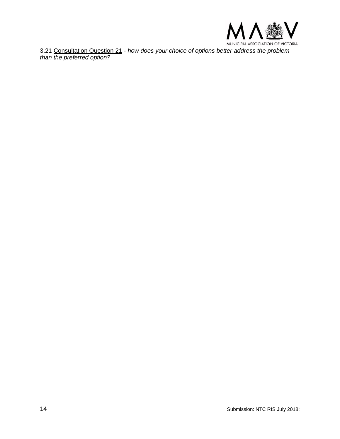

3.21 Consultation Question 21 - *how does your choice of options better address the problem than the preferred option?*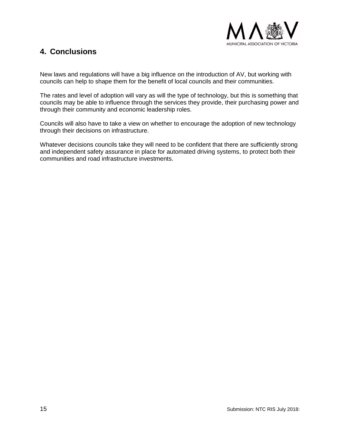

## <span id="page-14-0"></span>**4. Conclusions**

New laws and regulations will have a big influence on the introduction of AV, but working with councils can help to shape them for the benefit of local councils and their communities.

The rates and level of adoption will vary as will the type of technology, but this is something that councils may be able to influence through the services they provide, their purchasing power and through their community and economic leadership roles.

Councils will also have to take a view on whether to encourage the adoption of new technology through their decisions on infrastructure.

Whatever decisions councils take they will need to be confident that there are sufficiently strong and independent safety assurance in place for automated driving systems, to protect both their communities and road infrastructure investments.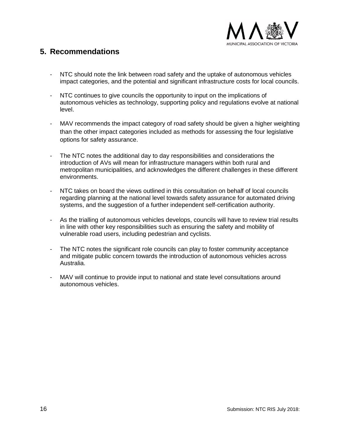

## <span id="page-15-0"></span>**5. Recommendations**

- NTC should note the link between road safety and the uptake of autonomous vehicles impact categories, and the potential and significant infrastructure costs for local councils.
- NTC continues to give councils the opportunity to input on the implications of autonomous vehicles as technology, supporting policy and regulations evolve at national level.
- MAV recommends the impact category of road safety should be given a higher weighting than the other impact categories included as methods for assessing the four legislative options for safety assurance.
- The NTC notes the additional day to day responsibilities and considerations the introduction of AVs will mean for infrastructure managers within both rural and metropolitan municipalities, and acknowledges the different challenges in these different environments.
- NTC takes on board the views outlined in this consultation on behalf of local councils regarding planning at the national level towards safety assurance for automated driving systems, and the suggestion of a further independent self-certification authority.
- As the trialling of autonomous vehicles develops, councils will have to review trial results in line with other key responsibilities such as ensuring the safety and mobility of vulnerable road users, including pedestrian and cyclists.
- The NTC notes the significant role councils can play to foster community acceptance and mitigate public concern towards the introduction of autonomous vehicles across Australia.
- MAV will continue to provide input to national and state level consultations around autonomous vehicles.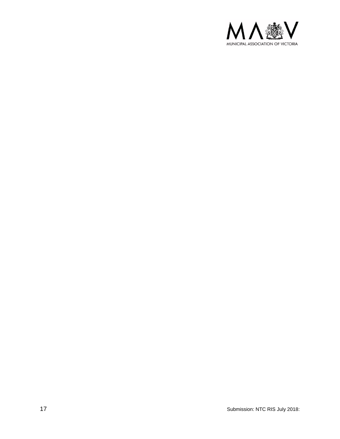